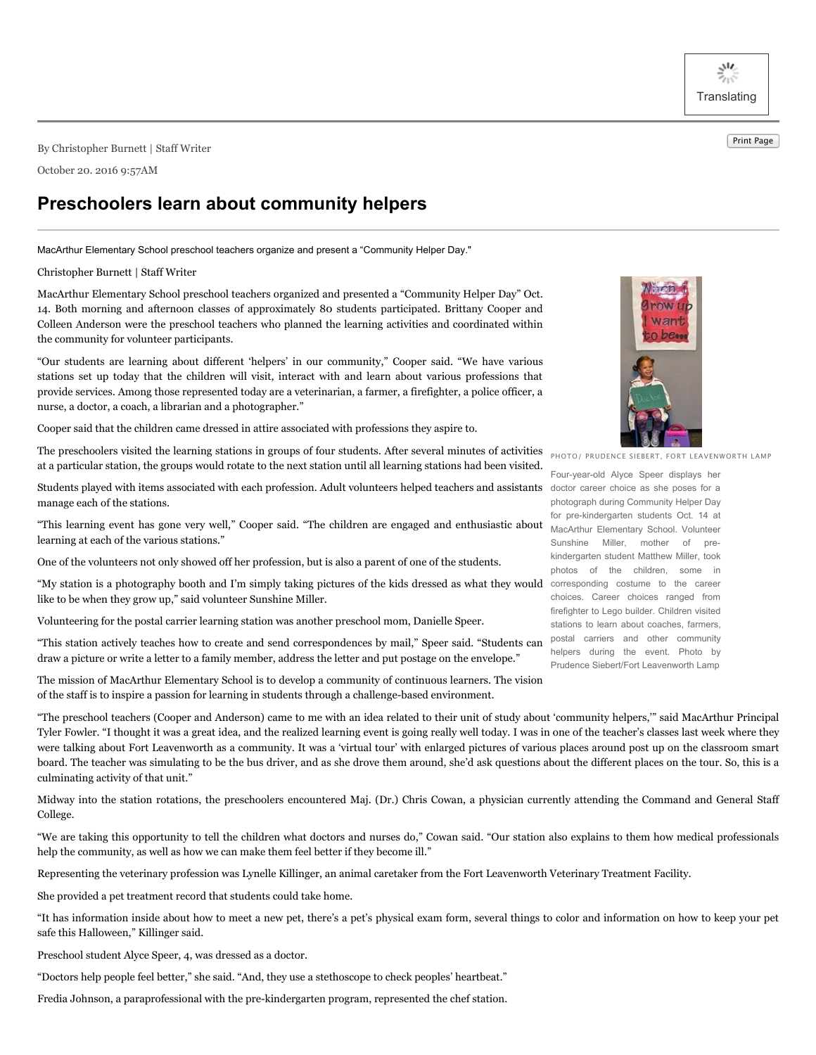$\frac{3}{2}$ **Translating** 

Print Page By Christopher Burnett <sup>|</sup> Staff Writer

October 20. 2016 9:57AM

## **Preschoolers learn about community helpers**

MacArthur Elementary School preschool teachers organize and present a "Community Helper Day."

## Christopher Burnett | Staff Writer

MacArthur Elementary School preschool teachers organized and presented a "Community Helper Day" Oct. 14. Both morning and afternoon classes of approximately 80 students participated. Brittany Cooper and Colleen Anderson were the preschool teachers who planned the learning activities and coordinated within the community for volunteer participants.

"Our students are learning about different 'helpers' in our community," Cooper said. "We have various stations set up today that the children will visit, interact with and learn about various professions that provide services. Among those represented today are a veterinarian, a farmer, a firefighter, a police officer, a nurse, a doctor, a coach, a librarian and a photographer."

Cooper said that the children came dressed in attire associated with professions they aspire to.

The preschoolers visited the learning stations in groups of four students. After several minutes of activities at a particular station, the groups would rotate to the next station until all learning stations had been visited.

Students played with items associated with each profession. Adult volunteers helped teachers and assistants doctor career choice as she poses for a manage each of the stations.

"This learning event has gone very well," Cooper said. "The children are engaged and enthusiastic about MacArthur Elementary School. Volunteer learning at each of the various stations."

One of the volunteers not only showed off her profession, but is also a parent of one of the students.

"My station is a photography booth and I'm simply taking pictures of the kids dressed as what they would corresponding costume to the career like to be when they grow up," said volunteer Sunshine Miller.

Volunteering for the postal carrier learning station was another preschool mom, Danielle Speer.

"This station actively teaches how to create and send correspondences by mail," Speer said. "Students can draw a picture or write a letter to a family member, address the letter and put postage on the envelope."

The mission of MacArthur Elementary School is to develop a community of continuous learners. The vision of the staff is to inspire a passion for learning in students through a challenge-based environment.

"The preschool teachers (Cooper and Anderson) came to me with an idea related to their unit of study about 'community helpers,'" said MacArthur Principal Tyler Fowler. "I thought it was a great idea, and the realized learning event is going really well today. I was in one of the teacher's classes last week where they were talking about Fort Leavenworth as a community. It was a 'virtual tour' with enlarged pictures of various places around post up on the classroom smart board. The teacher was simulating to be the bus driver, and as she drove them around, she'd ask questions about the different places on the tour. So, this is a culminating activity of that unit."

Midway into the station rotations, the preschoolers encountered Maj. (Dr.) Chris Cowan, a physician currently attending the Command and General Staff College.

"We are taking this opportunity to tell the children what doctors and nurses do," Cowan said. "Our station also explains to them how medical professionals help the community, as well as how we can make them feel better if they become ill."

Representing the veterinary profession was Lynelle Killinger, an animal caretaker from the Fort Leavenworth Veterinary Treatment Facility.

She provided a pet treatment record that students could take home.

"It has information inside about how to meet a new pet, there's a pet's physical exam form, several things to color and information on how to keep your pet safe this Halloween," Killinger said.

Preschool student Alyce Speer, 4, was dressed as a doctor.

"Doctors help people feel better," she said. "And, they use a stethoscope to check peoples' heartbeat."

Fredia Johnson, a paraprofessional with the pre-kindergarten program, represented the chef station.



PHOTO/ PRUDENCE SIEBERT, FORT LEAVENWORTH LAMP

Four-year-old Alyce Speer displays her photograph during Community Helper Day for pre-kindergarten students Oct. 14 at Sunshine Miller, mother of prekindergarten student Matthew Miller, took photos of the children, some in choices. Career choices ranged from firefighter to Lego builder. Children visited stations to learn about coaches, farmers, postal carriers and other community helpers during the event. Photo by Prudence Siebert/Fort Leavenworth Lamp